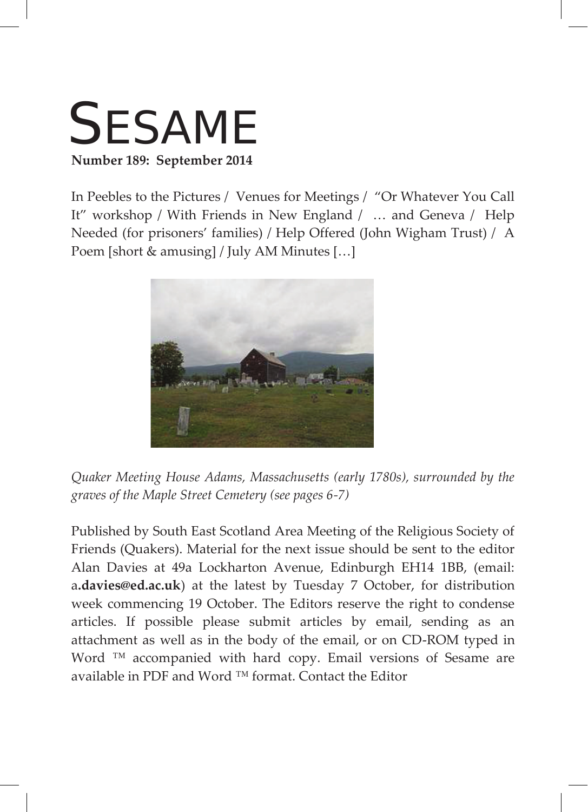

In Peebles to the Pictures / Venues for Meetings / "Or Whatever You Call It" workshop / With Friends in New England / … and Geneva / Help Needed (for prisoners' families) / Help Offered (John Wigham Trust) / A Poem [short & amusing] / July AM Minutes […]



*Quaker Meeting House Adams, Massachusetts (early 1780s), surrounded by the graves of the Maple Street Cemetery (see pages 6-7)*

Published by South East Scotland Area Meeting of the Religious Society of Friends (Quakers). Material for the next issue should be sent to the editor Alan Davies at 49a Lockharton Avenue, Edinburgh EH14 1BB, (email: a**.davies@ed.ac.uk**) at the latest by Tuesday 7 October, for distribution week commencing 19 October. The Editors reserve the right to condense articles. If possible please submit articles by email, sending as an attachment as well as in the body of the email, or on CD-ROM typed in Word ™ accompanied with hard copy. Email versions of Sesame are available in PDF and Word ™ format. Contact the Editor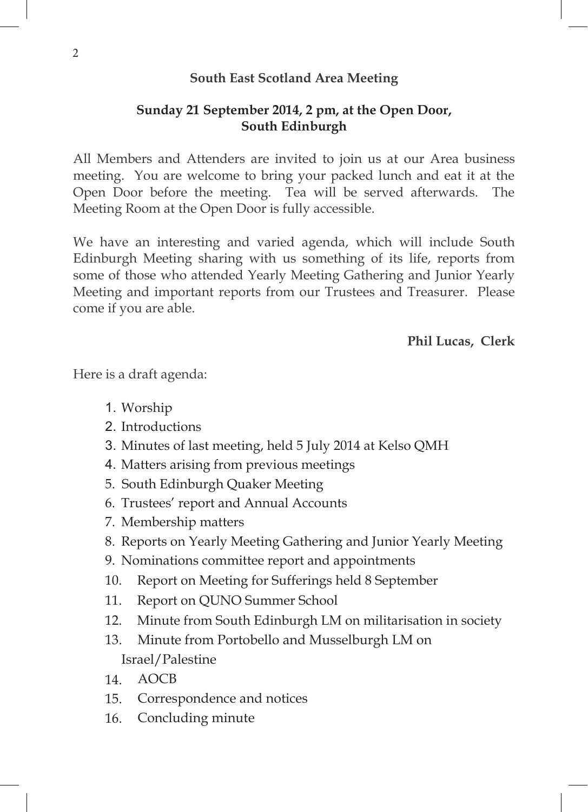## **South East Scotland Area Meeting**

# **Sunday 21 September 2014, 2 pm, at the Open Door, South Edinburgh**

All Members and Attenders are invited to join us at our Area business meeting. You are welcome to bring your packed lunch and eat it at the Open Door before the meeting. Tea will be served afterwards. The Meeting Room at the Open Door is fully accessible.

We have an interesting and varied agenda, which will include South Edinburgh Meeting sharing with us something of its life, reports from some of those who attended Yearly Meeting Gathering and Junior Yearly Meeting and important reports from our Trustees and Treasurer. Please come if you are able.

**Phil Lucas, Clerk**

Here is a draft agenda:

- 1. Worship
- 2. Introductions
- 3. Minutes of last meeting, held 5 July 2014 at Kelso QMH
- 4. Matters arising from previous meetings
- 5. South Edinburgh Quaker Meeting
- 6. Trustees' report and Annual Accounts
- 7. Membership matters
- 8. Reports on Yearly Meeting Gathering and Junior Yearly Meeting
- 9. Nominations committee report and appointments
- 10. Report on Meeting for Sufferings held 8 September
- 11. Report on QUNO Summer School
- 12. Minute from South Edinburgh LM on militarisation in society
- 13. Minute from Portobello and Musselburgh LM on Israel/Palestine
- 14. AOCB
- 15. Correspondence and notices
- 16. Concluding minute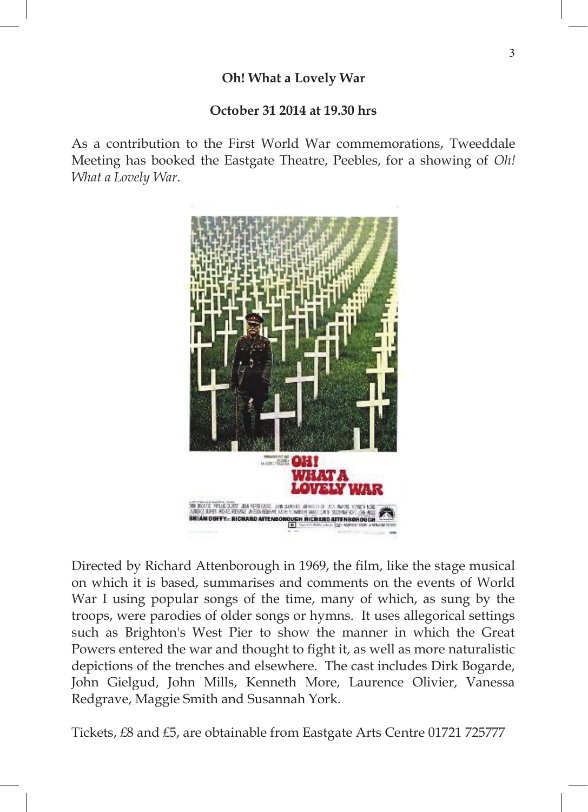## **October 31 2014 at 19.30 hrs**

As a contribution to the First World War commemorations, Tweeddale Meeting has booked the Eastgate Theatre, Peebles, for a showing of *Oh! What a Lovely War*.



Directed by Richard Attenborough in 1969, the film, like the stage musical on which it is based, summarises and comments on the events of World War I using popular songs of the time, many of which, as sung by the troops, were parodies of older songs or hymns. It uses allegorical settings such as Brighton's West Pier to show the manner in which the Great Powers entered the war and thought to fight it, as well as more naturalistic depictions of the trenches and elsewhere. The cast includes Dirk Bogarde, John Gielgud, John Mills, Kenneth More, Laurence Olivier, Vanessa Redgrave, Maggie Smith and Susannah York.

Tickets, £8 and £5, are obtainable from Eastgate Arts Centre 01721 725777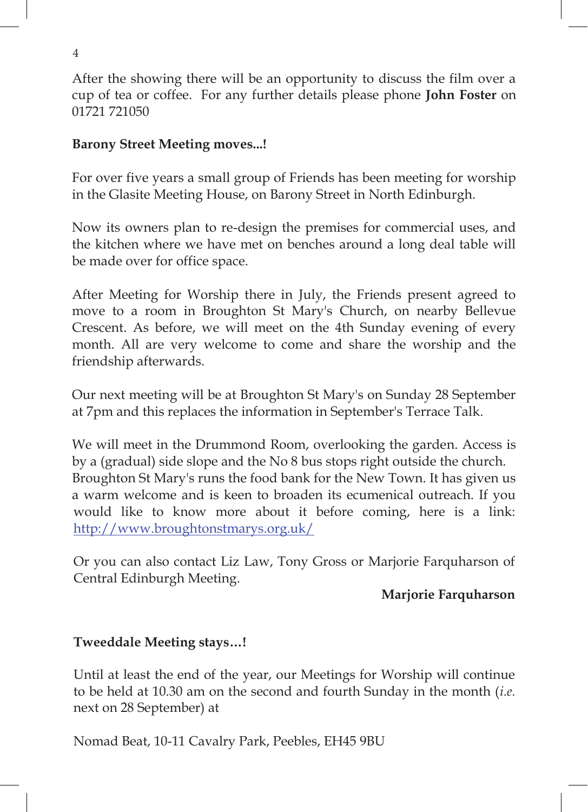After the showing there will be an opportunity to discuss the film over a cup of tea or coffee. For any further details please phone **John Foster** on 01721 721050

## **Barony Street Meeting moves...!**

For over five years a small group of Friends has been meeting for worship in the Glasite Meeting House, on Barony Street in North Edinburgh.

Now its owners plan to re-design the premises for commercial uses, and the kitchen where we have met on benches around a long deal table will be made over for office space.

After Meeting for Worship there in July, the Friends present agreed to move to a room in Broughton St Mary's Church, on nearby Bellevue Crescent. As before, we will meet on the 4th Sunday evening of every month. All are very welcome to come and share the worship and the friendship afterwards.

Our next meeting will be at Broughton St Mary's on Sunday 28 September at 7pm and this replaces the information in September's Terrace Talk.

We will meet in the Drummond Room, overlooking the garden. Access is by a (gradual) side slope and the No 8 bus stops right outside the church. Broughton St Mary's runs the food bank for the New Town. It has given us 5 a warm welcome and is keen to broaden its ecumenical outreach. If you would like to know more about it before coming, here is a link: http://www.broughtonstmarys.org.uk/

Or you can also contact Liz Law, Tony Gross or Marjorie Farquharson of Central Edinburgh Meeting.

## **Marjorie Farquharson**

# **Tweeddale Meeting stays…!**

Until at least the end of the year, our Meetings for Worship will continue to be held at 10.30 am on the second and fourth Sunday in the month (*i.e.* next on 28 September) at

Nomad Beat, 10-11 Cavalry Park, Peebles, EH45 9BU

4  $\overline{8}$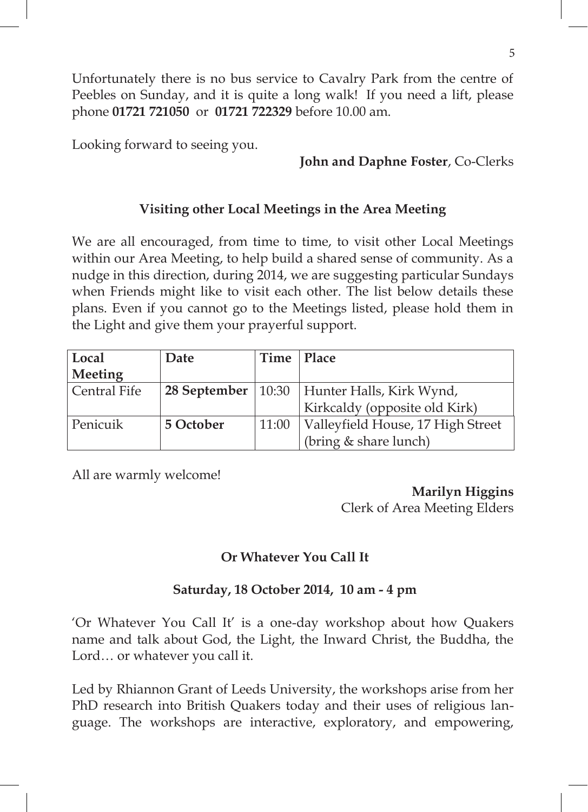Unfortunately there is no bus service to Cavalry Park from the centre of Peebles on Sunday, and it is quite a long walk! If you need a lift, please phone **01721 721050** or **01721 722329** before 10.00 am.

Looking forward to seeing you.

#### **John and Daphne Foster**, Co-Clerks

#### **Visiting other Local Meetings in the Area Meeting**

We are all encouraged, from time to time, to visit other Local Meetings within our Area Meeting, to help build a shared sense of community. As a nudge in this direction, during 2014, we are suggesting particular Sundays when Friends might like to visit each other. The list below details these plans. Even if you cannot go to the Meetings listed, please hold them in the Light and give them your prayerful support.

| Local        | Date      | Time  | Place                                           |  |
|--------------|-----------|-------|-------------------------------------------------|--|
| Meeting      |           |       |                                                 |  |
| Central Fife |           |       | 28 September   10:30   Hunter Halls, Kirk Wynd, |  |
|              |           |       | Kirkcaldy (opposite old Kirk)                   |  |
| Penicuik     | 5 October | 11:00 | Valleyfield House, 17 High Street               |  |
|              |           |       | (bring & share lunch)                           |  |

All are warmly welcome!

**Marilyn Higgins**  Clerk of Area Meeting Elders

### **Or Whatever You Call It**

#### **Saturday, 18 October 2014, 10 am - 4 pm**

'Or Whatever You Call It' is a one-day workshop about how Quakers name and talk about God, the Light, the Inward Christ, the Buddha, the Lord… or whatever you call it.

Led by Rhiannon Grant of Leeds University, the workshops arise from her PhD research into British Quakers today and their uses of religious language. The workshops are interactive, exploratory, and empowering,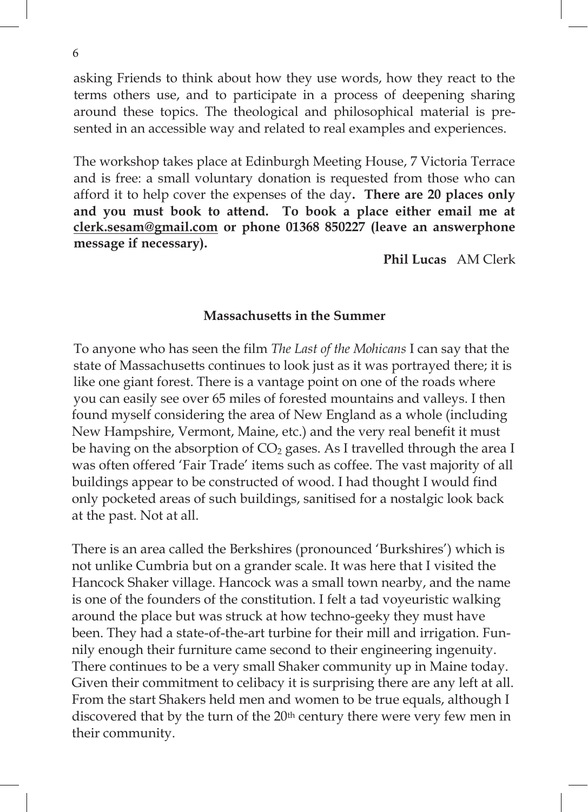asking Friends to think about how they use words, how they react to the terms others use, and to participate in a process of deepening sharing terms others use, and to participate in a process of deepening sharing around these topics. The theological and philosophical material is prearound these topics. The theological and philosophical material is presented in an accessible way and related to real examples and experiences.  $\frac{1}{4}$  decree interactive are interactive are interactive, exploration  $\frac{1}{4}$  decree interactive and  $\frac{1}{4}$  decree interactive and  $\frac{1}{4}$  decree interactive and  $\frac{1}{4}$  decree interactive and  $\frac{1}{4}$  decre senica in an accessibic way and related to real examples and experiences.

The workshop takes place at Edinburgh Meeting House, 7 Victoria Terrace and is free: a small voluntary donation is requested from those who can afford it to help cover the expenses of the day**. There are 20 places only**  and you must book to attend. To book a place either email me at and you must book to attend. To book a place either email me at **clerk.sesam@gmail.com or phone 01368 850227 (leave an answerphone**  and is free: a small voluntary donation is requested from those who can **message if necessary). Phil Lucas** AM Clerk sented way and the company and relationship and relationship and relationship and relationship and the contract of the contract of the contract of the contract of the contract of the contract of the contract of the contrac <u>correspondence</u> to profit the experiment and answer profit

**c c o o o o o o o** *o o o o o o o o o o o o o o o o o o o o o o o o o o o o o <i>o* 

## To anyone who has seen the film *The Last of the Mohicans* I can say that the **Massachusetts in the Summer** state of Massachusetts continues to look just as it was portrayed there; it is

found myself considering the area of New England as a whole (including New Hampshire, Vermont, Maine, etc.) and the very real benefit it must be having on the absorption of  $CO<sub>2</sub>$  gases. As I travelled through the area I was often offered 'Fair Trade' items such as coffee. The vast majority of all buildings appear to be constructed of wood. I had thought I would find only pocketed areas of such buildings, sanitised for a nostalgic look back at the past. Not at all. To anyone who has seen the film *The Last of the Mohicans* I can say that the state of Massachusetts continues to look just as it was portrayed there; it is like one giant forest. There is a vantage point on one of the roads where you can easily see over 65 miles of forested mountains and valleys. I then

There is an area called the Berkshires (pronounced 'Burkshires') which is not unlike Cumbria but on a grander scale. It was here that I visited the Hancock Shaker village. Hancock was a small town nearby, and the name is one of the founders of the constitution. I felt a tad voyeuristic walking around the place but was struck at how techno-geeky they must have been. They had a state-of-the-art turbine for their mill and irrigation. Funnily enough their furniture came second to their engineering ingenuity. There continues to be a very small Shaker community up in Maine today. Given their commitment to celibacy it is surprising there are any left at all. From the start Shakers held men and women to be true equals, although I discovered that by the turn of the 20<sup>th</sup> century there were very few men in their community.

6  $\mathcal{L}$ guage. The workshops are interactive, exploratory, and empowering, and empowering, and empowering, and empower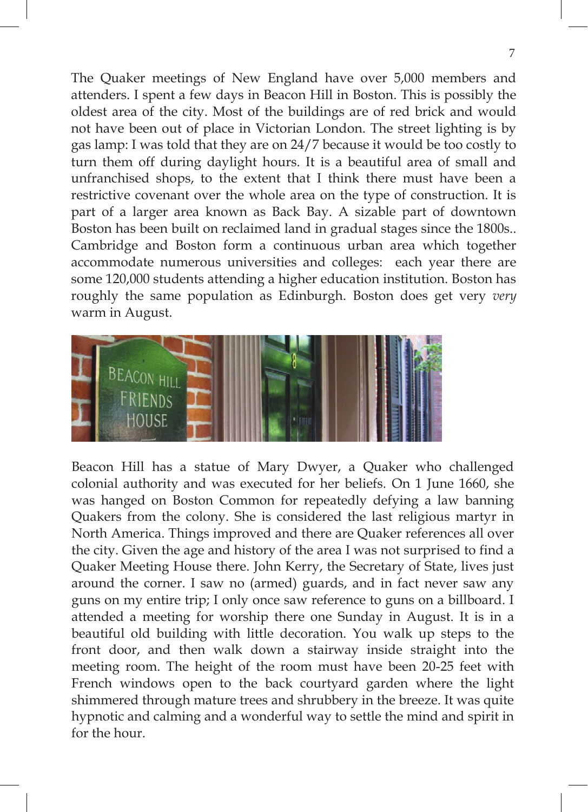The Quaker meetings of New England have over 5,000 members and attenders. I spent a few days in Beacon Hill in Boston. This is possibly the oldest area of the city. Most of the buildings are of red brick and would not have been out of place in Victorian London. The street lighting is by gas lamp: I was told that they are on 24/7 because it would be too costly to turn them off during daylight hours. It is a beautiful area of small and unfranchised shops, to the extent that I think there must have been a restrictive covenant over the whole area on the type of construction. It is part of a larger area known as Back Bay. A sizable part of downtown Boston has been built on reclaimed land in gradual stages since the 1800s.. Cambridge and Boston form a continuous urban area which together accommodate numerous universities and colleges: each year there are some 120,000 students attending a higher education institution. Boston has roughly the same population as Edinburgh. Boston does get very *very* 8 warm in August.



Beacon Hill has a statue of Mary Dwyer, a Quaker who challenged colonial authority and was executed for her beliefs. On 1 June 1660, she was hanged on Boston Common for repeatedly defying a law banning Quakers from the colony. She is considered the last religious martyr in North America. Things improved and there are Quaker references all over the city. Given the age and history of the area I was not surprised to find a Quaker Meeting House there. John Kerry, the Secretary of State, lives just around the corner. I saw no (armed) guards, and in fact never saw any guns on my entire trip; I only once saw reference to guns on a billboard. I attended a meeting for worship there one Sunday in August. It is in a beautiful old building with little decoration. You walk up steps to the front door, and then walk down a stairway inside straight into the meeting room. The height of the room must have been 20-25 feet with French windows open to the back courtyard garden where the light shimmered through mature trees and shrubbery in the breeze. It was quite hypnotic and calming and a wonderful way to settle the mind and spirit in for the hour.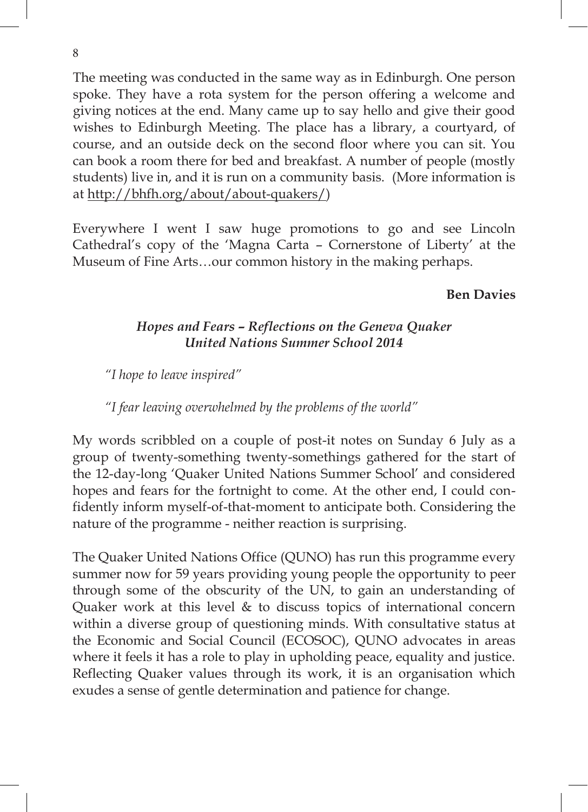The meeting was conducted in the same way as in Edinburgh. One person spoke. They have a rota system for the person offering a welcome and giving notices at the end. Many came up to say hello and give their good wishes to Edinburgh Meeting. The place has a library, a courtyard, of course, and an outside deck on the second floor where you can sit. You can book a room there for bed and breakfast. A number of people (mostly students) live in, and it is run on a community basis. (More information is at http://bhfh.org/about/about-quakers/)

Everywhere I went I saw huge promotions to go and see Lincoln Cathedral's copy of the 'Magna Carta – Cornerstone of Liberty' at the Museum of Fine Arts…our common history in the making perhaps.

## **Ben Davies**

## *Hopes and Fears – Reflections on the Geneva Quaker United Nations Summer School 2014*

*"I hope to leave inspired"*

#### *"I fear leaving overwhelmed by the problems of the world"*

My words scribbled on a couple of post-it notes on Sunday 6 July as a group of twenty-something twenty-somethings gathered for the start of the 12-day-long 'Quaker United Nations Summer School' and considered hopes and fears for the fortnight to come. At the other end, I could confidently inform myself-of-that-moment to anticipate both. Considering the nature of the programme - neither reaction is surprising.

The Quaker United Nations Office (QUNO) has run this programme every summer now for 59 years providing young people the opportunity to peer through some of the obscurity of the UN, to gain an understanding of Quaker work at this level & to discuss topics of international concern within a diverse group of questioning minds. With consultative status at the Economic and Social Council (ECOSOC), QUNO advocates in areas where it feels it has a role to play in upholding peace, equality and justice. Reflecting Quaker values through its work, it is an organisation which exudes a sense of gentle determination and patience for change.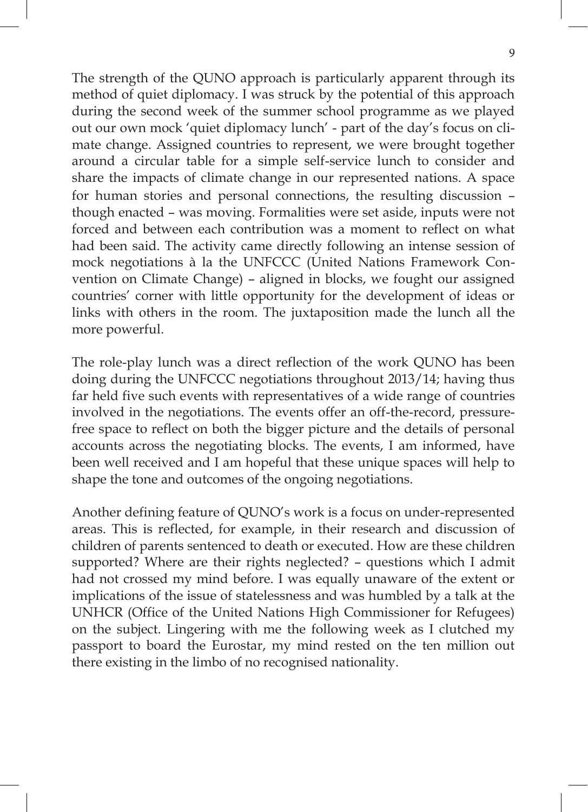The strength of the QUNO approach is particularly apparent through its method of quiet diplomacy. I was struck by the potential of this approach during the second week of the summer school programme as we played out our own mock 'quiet diplomacy lunch' - part of the day's focus on climate change. Assigned countries to represent, we were brought together around a circular table for a simple self-service lunch to consider and 10 share the impacts of climate change in our represented nations. A space for human stories and personal connections, the resulting discussion – though enacted – was moving. Formalities were set aside, inputs were not forced and between each contribution was a moment to reflect on what had been said. The activity came directly following an intense session of mock negotiations à la the UNFCCC (United Nations Framework Convention on Climate Change) – aligned in blocks, we fought our assigned countries' corner with little opportunity for the development of ideas or links with others in the room. The juxtaposition made the lunch all the more powerful.

The role-play lunch was a direct reflection of the work QUNO has been doing during the UNFCCC negotiations throughout 2013/14; having thus far held five such events with representatives of a wide range of countries involved in the negotiations. The events offer an off-the-record, pressurefree space to reflect on both the bigger picture and the details of personal accounts across the negotiating blocks. The events, I am informed, have been well received and I am hopeful that these unique spaces will help to shape the tone and outcomes of the ongoing negotiations.

Another defining feature of QUNO's work is a focus on under-represented areas. This is reflected, for example, in their research and discussion of children of parents sentenced to death or executed. How are these children supported? Where are their rights neglected? – questions which I admit had not crossed my mind before. I was equally unaware of the extent or implications of the issue of statelessness and was humbled by a talk at the UNHCR (Office of the United Nations High Commissioner for Refugees) on the subject. Lingering with me the following week as I clutched my passport to board the Eurostar, my mind rested on the ten million out there existing in the limbo of no recognised nationality.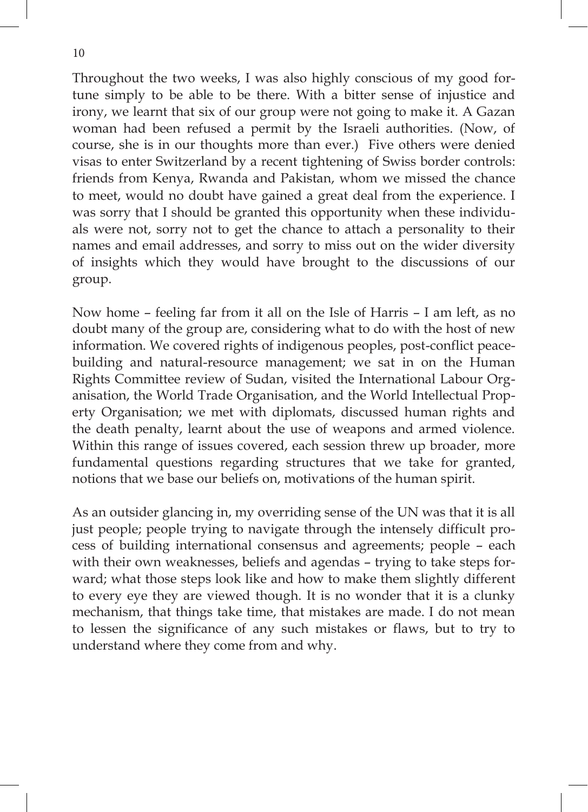visas to enter Switzerland by a recent tightening of Swiss border controls: to meet, would no doubt have gained a great deal from the experience. I was sorry that I should be granted this opportunity when these individuals were not, sorry not to get the chance to attach a personality to their names and email addresses, and sorry to miss out on the wider diversity of insights which they would have brought to the discussions of our group. Throughout the two weeks, I was also highly conscious of my good fortune simply to be able to be there. With a bitter sense of injustice and irony, we learnt that six of our group were not going to make it. A Gazan woman had been refused a permit by the Israeli authorities. (Now, of course, she is in our thoughts more than ever.) Five others were denied friends from Kenya, Rwanda and Pakistan, whom we missed the chance

Now home – feeling far from it all on the Isle of Harris – I am left, as no doubt many of the group are, considering what to do with the host of new information. We covered rights of indigenous peoples, post-conflict peacebuilding and natural-resource management; we sat in on the Human Rights Committee review of Sudan, visited the International Labour Organisation, the World Trade Organisation, and the World Intellectual Property Organisation; we met with diplomats, discussed human rights and the death penalty, learnt about the use of weapons and armed violence. Within this range of issues covered, each session threw up broader, more fundamental questions regarding structures that we take for granted, notions that we base our beliefs on, motivations of the human spirit.

As an outsider glancing in, my overriding sense of the UN was that it is all just people; people trying to navigate through the intensely difficult process of building international consensus and agreements; people – each with their own weaknesses, beliefs and agendas – trying to take steps forward; what those steps look like and how to make them slightly different to every eye they are viewed though. It is no wonder that it is a clunky mechanism, that things take time, that mistakes are made. I do not mean to lessen the significance of any such mistakes or flaws, but to try to understand where they come from and why.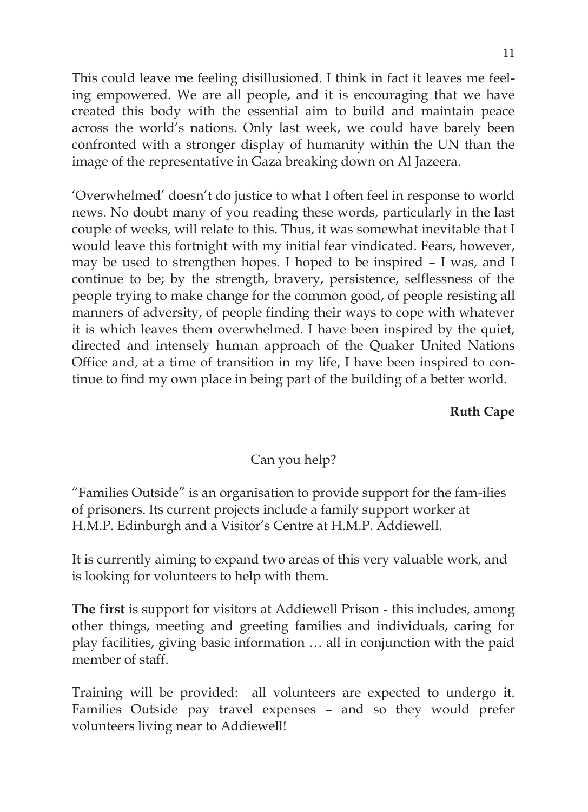This could leave me feeling disillusioned. I think in fact it leaves me feeling empowered. We are all people, and it is encouraging that we have created this body with the essential aim to build and maintain peace across the world's nations. Only last week, we could have barely been confronted with a stronger display of humanity within the UN than the image of the representative in Gaza breaking down on Al Jazeera.

'Overwhelmed' doesn't do justice to what I often feel in response to world news. No doubt many of you reading these words, particularly in the last couple of weeks, will relate to this. Thus, it was somewhat inevitable that I would leave this fortnight with my initial fear vindicated. Fears, however, may be used to strengthen hopes. I hoped to be inspired – I was, and I continue to be; by the strength, bravery, persistence, selflessness of the people trying to make change for the common good, of people resisting all manners of adversity, of people finding their ways to cope with whatever it is which leaves them overwhelmed. I have been inspired by the quiet, directed and intensely human approach of the Quaker United Nations Office and, at a time of transition in my life, I have been inspired to continue to find my own place in being part of the building of a better world.

#### **Ruth Cape**

## Can you help?

"Families Outside" is an organisation to provide support for the fam-ilies of prisoners. Its current projects include a family support worker at H.M.P. Edinburgh and a Visitor's Centre at H.M.P. Addiewell.

It is currently aiming to expand two areas of this very valuable work, and is looking for volunteers to help with them.

**The first** is support for visitors at Addiewell Prison - this includes, among other things, meeting and greeting families and individuals, caring for play facilities, giving basic information … all in conjunction with the paid member of staff.

Training will be provided: all volunteers are expected to undergo it. Families Outside pay travel expenses – and so they would prefer volunteers living near to Addiewell!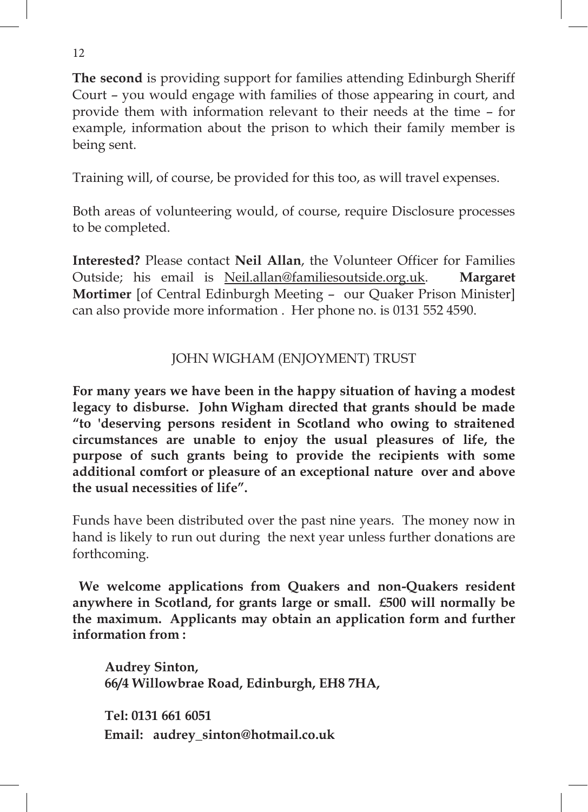Court – you would engage with families of those appearing in court, and example, information about the prison to which their family member is being sent. **The second** is providing support for families attending Edinburgh Sheriff provide them with information relevant to their needs at the time – for

Training will, of course, be provided for this too, as will travel expenses.

Both areas of volunteering would, of course, require Disclosure processes to be completed.

**Interested?** Please contact **Neil Allan**, the Volunteer Officer for Families Outside; his email is Neil.allan@familiesoutside.org.uk. **Margaret Mortimer** [of Central Edinburgh Meeting – our Quaker Prison Minister] can also provide more information . Her phone no. is 0131 552 4590.

# JOHN WIGHAM (ENJOYMENT) TRUST

**For many years we have been in the happy situation of having a modest legacy to disburse. John Wigham directed that grants should be made "to 'deserving persons resident in Scotland who owing to straitened circumstances are unable to enjoy the usual pleasures of life, the purpose of such grants being to provide the recipients with some additional comfort or pleasure of an exceptional nature over and above the usual necessities of life".**

Funds have been distributed over the past nine years. The money now in hand is likely to run out during the next year unless further donations are forthcoming.

**We welcome applications from Quakers and non-Quakers resident anywhere in Scotland, for grants large or small. £500 will normally be the maximum. Applicants may obtain an application form and further information from :**

**Audrey Sinton, 66/4 Willowbrae Road, Edinburgh, EH8 7HA,**

**Tel: 0131 661 6051 Email: audrey\_sinton@hotmail.co.uk**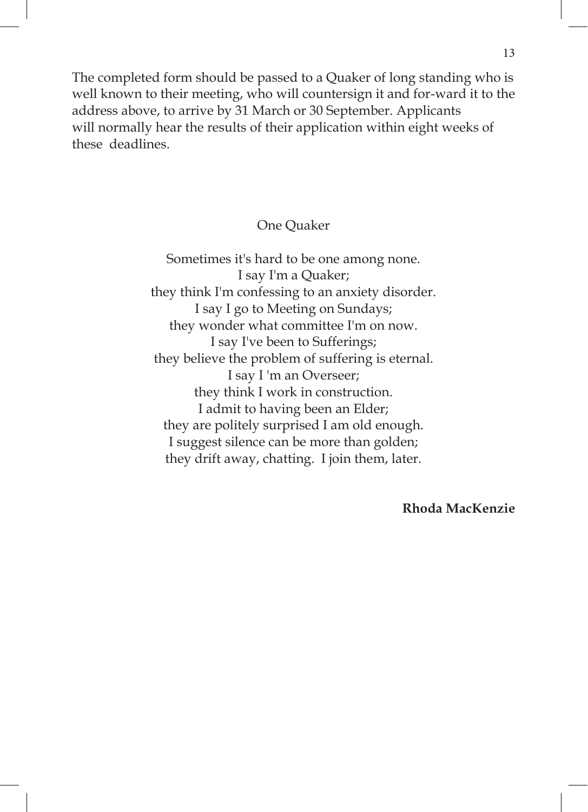The completed form should be passed to a Quaker of long standing who is well known to their meeting, who will countersign it and for-ward it to the address above, to arrive by 31 March or 30 September. Applicants will normally hear the results of their application within eight weeks of these deadlines.

One Quaker

Sometimes it's hard to be one among none. I say I'm a Quaker; they think I'm confessing to an anxiety disorder. I say I go to Meeting on Sundays; they wonder what committee I'm on now. I say I've been to Sufferings; they believe the problem of suffering is eternal. I say I 'm an Overseer; they think I work in construction. I admit to having been an Elder; they are politely surprised I am old enough. I suggest silence can be more than golden; they drift away, chatting. I join them, later.

**Rhoda MacKenzie**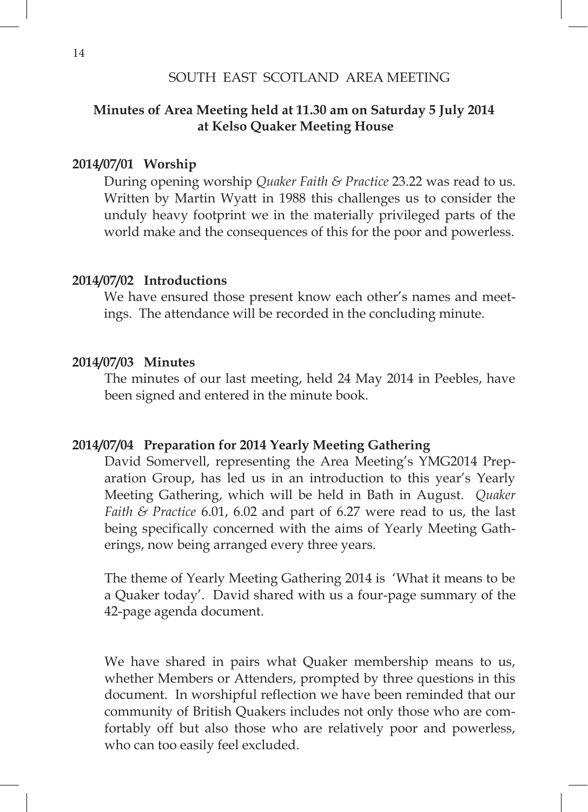#### SOUTH EAST SCOTLAND AREA MEETING SOUTH EAST SCOTLAND AREA MEETING

#### **Minutes of Area Meeting held at 11.30 am on Saturday 5 July 2014 at Kelso Quaker Meeting House Minutes of Area Meeting held at 11.30 am on Saturday 5 July 2014 at Kelling Held at 11.50 and 011 Satt**

### **2014/07/01 Worship**

During opening worship *Quaker Faith & Practice* 23.22 was read to us. Written by Martin Wyatt in 1988 this challenges us to consider the unduly heavy footprint we in the materially privileged parts of the world make and the consequences of this for the poor and powerless.

#### **2014/07/02 Introductions**

We have ensured those present know each other's names and meetings. The attendance will be recorded in the concluding minute.

#### **2014/07/03 Minutes**

The minutes of our last meeting, held 24 May 2014 in Peebles, have been signed and entered in the minute book.

#### **2014/07/04 Preparation for 2014 Yearly Meeting Gathering**

David Somervell, representing the Area Meeting's YMG2014 Preparation Group, has led us in an introduction to this year's Yearly Meeting Gathering, which will be held in Bath in August. *Quaker Faith & Practice* 6.01, 6.02 and part of 6.27 were read to us, the last being specifically concerned with the aims of Yearly Meeting Gatherings, now being arranged every three years.

The theme of Yearly Meeting Gathering 2014 is 'What it means to be a Quaker today'. David shared with us a four-page summary of the 42-page agenda document.

We have shared in pairs what Quaker membership means to us, whether Members or Attenders, prompted by three questions in this document. In worshipful reflection we have been reminded that our community of British Quakers includes not only those who are comfortably off but also those who are relatively poor and powerless, who can too easily feel excluded.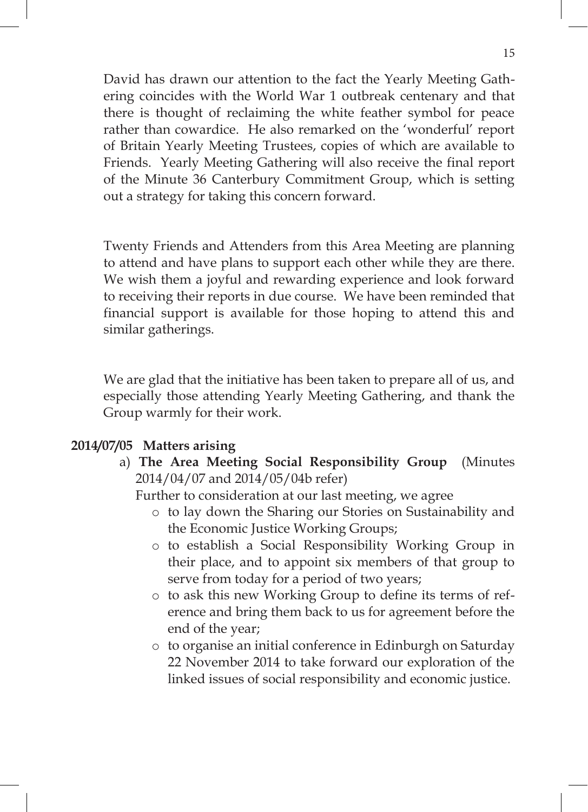David has drawn our attention to the fact the Yearly Meeting Gathering coincides with the World War 1 outbreak centenary and that there is thought of reclaiming the white feather symbol for peace rather than cowardice. He also remarked on the 'wonderful' report of Britain Yearly Meeting Trustees, copies of which are available to Friends. Yearly Meeting Gathering will also receive the final report of the Minute 36 Canterbury Commitment Group, which is setting out a strategy for taking this concern forward.

Twenty Friends and Attenders from this Area Meeting are planning to attend and have plans to support each other while they are there. We wish them a joyful and rewarding experience and look forward to receiving their reports in due course. We have been reminded that financial support is available for those hoping to attend this and similar gatherings.

We are glad that the initiative has been taken to prepare all of us, and especially those attending Yearly Meeting Gathering, and thank the Group warmly for their work.

### **2014/07/05 Matters arising**

a) **The Area Meeting Social Responsibility Group** (Minutes 2014/04/07 and 2014/05/04b refer)

Further to consideration at our last meeting, we agree

- o to lay down the Sharing our Stories on Sustainability and the Economic Justice Working Groups;
- o to establish a Social Responsibility Working Group in their place, and to appoint six members of that group to serve from today for a period of two years;
- o to ask this new Working Group to define its terms of reference and bring them back to us for agreement before the end of the year;
- o to organise an initial conference in Edinburgh on Saturday 22 November 2014 to take forward our exploration of the linked issues of social responsibility and economic justice.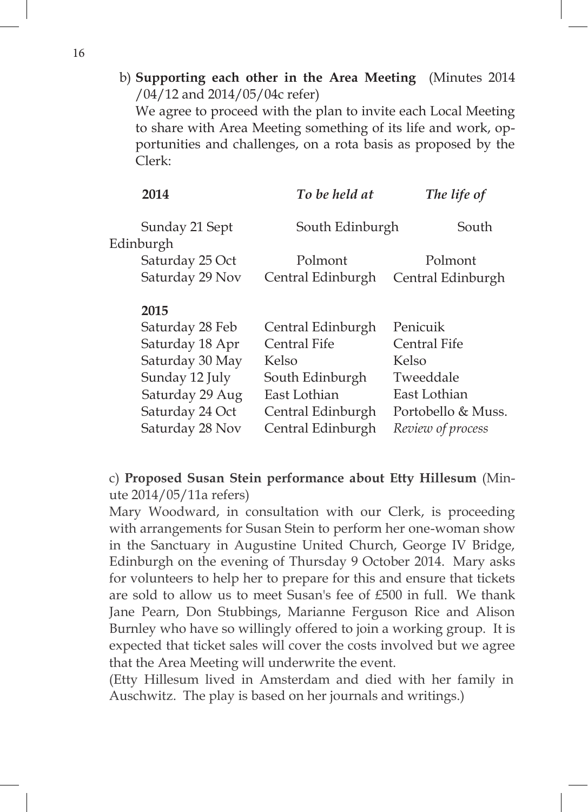b) **Supporting each other in the Area Meeting** (Minutes 2014 /04/12 and 2014/05/04c refer)

We agree to proceed with the plan to invite each Local Meeting to share with Area Meeting something of its life and work, opportunities and challenges, on a rota basis as proposed by the Clerk:

| 2014            | To be held at     | The life of        |  |
|-----------------|-------------------|--------------------|--|
| Sunday 21 Sept  | South Edinburgh   | South              |  |
| Edinburgh       |                   |                    |  |
| Saturday 25 Oct | Polmont           | Polmont            |  |
| Saturday 29 Nov | Central Edinburgh | Central Edinburgh  |  |
| 2015            |                   |                    |  |
| Saturday 28 Feb | Central Edinburgh | Penicuik           |  |
| Saturday 18 Apr | Central Fife      | Central Fife       |  |
| Saturday 30 May | Kelso             | Kelso              |  |
| Sunday 12 July  | South Edinburgh   | Tweeddale          |  |
| Saturday 29 Aug | East Lothian      | East Lothian       |  |
| Saturday 24 Oct | Central Edinburgh | Portobello & Muss. |  |
| Saturday 28 Nov | Central Edinburgh | Review of process  |  |

# c) **Proposed Susan Stein performance about Etty Hillesum** (Minute 2014/05/11a refers)

Mary Woodward, in consultation with our Clerk, is proceeding with arrangements for Susan Stein to perform her one-woman show in the Sanctuary in Augustine United Church, George IV Bridge, Edinburgh on the evening of Thursday 9 October 2014. Mary asks for volunteers to help her to prepare for this and ensure that tickets are sold to allow us to meet Susan's fee of £500 in full. We thank Jane Pearn, Don Stubbings, Marianne Ferguson Rice and Alison Burnley who have so willingly offered to join a working group. It is expected that ticket sales will cover the costs involved but we agree that the Area Meeting will underwrite the event.

(Etty Hillesum lived in Amsterdam and died with her family in Auschwitz. The play is based on her journals and writings.)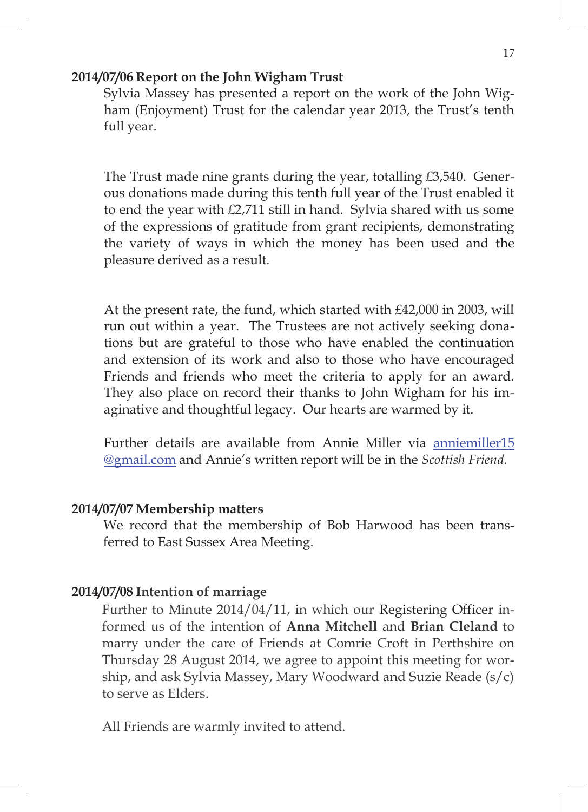#### **2014/07/06 Report on the John Wigham Trust**

Sylvia Massey has presented a report on the work of the John Wigham (Enjoyment) Trust for the calendar year 2013, the Trust's tenth full year.

The Trust made nine grants during the year, totalling £3,540. Generous donations made during this tenth full year of the Trust enabled it to end the year with £2,711 still in hand. Sylvia shared with us some of the expressions of gratitude from grant recipients, demonstrating the variety of ways in which the money has been used and the pleasure derived as a result.

At the present rate, the fund, which started with £42,000 in 2003, will run out within a year. The Trustees are not actively seeking donations but are grateful to those who have enabled the continuation and extension of its work and also to those who have encouraged Friends and friends who meet the criteria to apply for an award. They also place on record their thanks to John Wigham for his imaginative and thoughtful legacy. Our hearts are warmed by it.

Further details are available from Annie Miller via anniemiller15 @gmail.com and Annie's written report will be in the *Scottish Friend.*

#### **2014/07/07 Membership matters**

We record that the membership of Bob Harwood has been transferred to East Sussex Area Meeting.

## **2014/07/08 Intention of marriage**

Further to Minute 2014/04/11, in which our Registering Officer informed us of the intention of **Anna Mitchell** and **Brian Cleland** to marry under the care of Friends at Comrie Croft in Perthshire on Thursday 28 August 2014, we agree to appoint this meeting for worship, and ask Sylvia Massey, Mary Woodward and Suzie Reade (s/c) to serve as Elders.

All Friends are warmly invited to attend.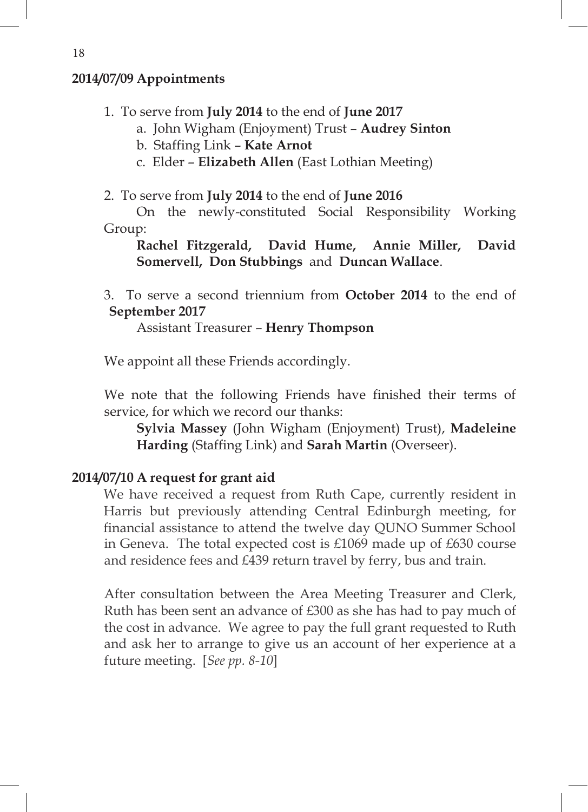## **2014/07/09 Appointments**

- 1. To serve from **July 2014** to the end of **June 2017**
	- a. John Wigham (Enjoyment) Trust **Audrey Sinton**
	- b. Staffing Link **Kate Arnot**
	- c. Elder **Elizabeth Allen** (East Lothian Meeting)
- 2. To serve from **July 2014** to the end of **June 2016**

On the newly-constituted Social Responsibility Working Group:

**Rachel Fitzgerald, David Hume, Annie Miller, David Somervell, Don Stubbings** and **Duncan Wallace**.

3. To serve a second triennium from **October 2014** to the end of **September 2017**

Assistant Treasurer – **Henry Thompson**

We appoint all these Friends accordingly.

We note that the following Friends have finished their terms of service, for which we record our thanks:

**Sylvia Massey** (John Wigham (Enjoyment) Trust), **Madeleine Harding** (Staffing Link) and **Sarah Martin** (Overseer).

# **2014/07/10 A request for grant aid**

We have received a request from Ruth Cape, currently resident in Harris but previously attending Central Edinburgh meeting, for financial assistance to attend the twelve day QUNO Summer School in Geneva. The total expected cost is £1069 made up of £630 course and residence fees and £439 return travel by ferry, bus and train.

After consultation between the Area Meeting Treasurer and Clerk, Ruth has been sent an advance of £300 as she has had to pay much of the cost in advance. We agree to pay the full grant requested to Ruth and ask her to arrange to give us an account of her experience at a future meeting. [*See pp. 8-10*]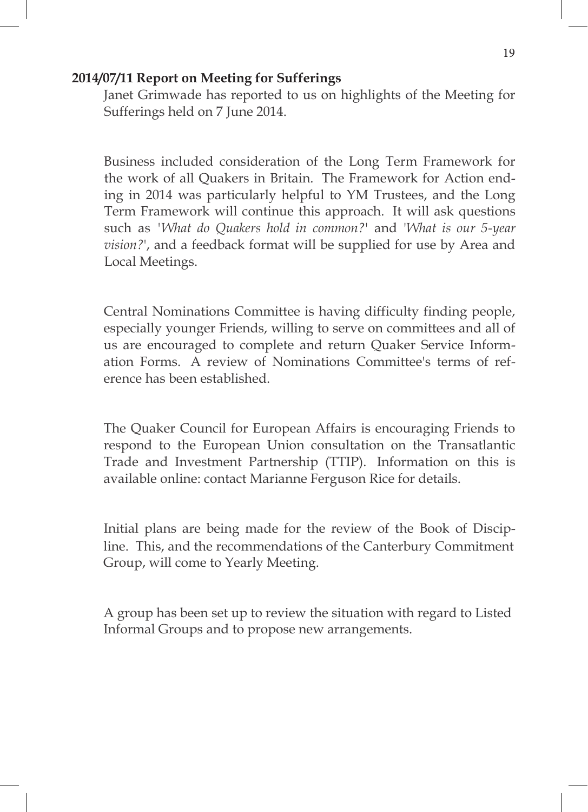## **2014/07/11 Report on Meeting for Sufferings**

Janet Grimwade has reported to us on highlights of the Meeting for Sufferings held on 7 June 2014.

Business included consideration of the Long Term Framework for the work of all Quakers in Britain. The Framework for Action ending in 2014 was particularly helpful to YM Trustees, and the Long Term Framework will continue this approach. It will ask questions such as *'What do Quakers hold in common?*' and '*What is our 5-year vision?*', and a feedback format will be supplied for use by Area and Local Meetings.

Central Nominations Committee is having difficulty finding people, especially younger Friends, willing to serve on committees and all of us are encouraged to complete and return Quaker Service Information Forms. A review of Nominations Committee's terms of reference has been established.

The Quaker Council for European Affairs is encouraging Friends to respond to the European Union consultation on the Transatlantic Trade and Investment Partnership (TTIP). Information on this is available online: contact Marianne Ferguson Rice for details.

Initial plans are being made for the review of the Book of Discipline. This, and the recommendations of the Canterbury Commitment Group, will come to Yearly Meeting.

A group has been set up to review the situation with regard to Listed Informal Groups and to propose new arrangements.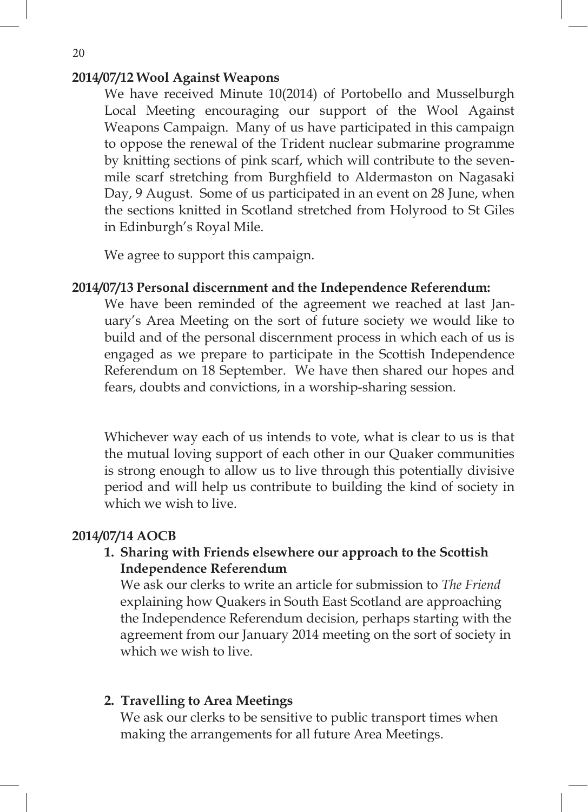# We have received Minute 10(2014) of Portobello and Musselburgh **2014/07/12 Wool Against Weapons**

We have received Minute 10(2014) of Portobello and Musselburgh Local Meeting encouraging our support of the Wool Against Weapons Campaign. Many of us have participated in this campaign to oppose the renewal of the Trident nuclear submarine programme by knitting sections of pink scarf, which will contribute to the sevenmile scarf stretching from Burghfield to Aldermaston on Nagasaki Day, 9 August. Some of us participated in an event on 28 June, when the sections knitted in Scotland stretched from Holyrood to St Giles in Edinburgh's Royal Mile.

We agree to support this campaign.

#### **2014/07/13 Personal discernment and the Independence Referendum:**  $\mathbb{R}$  and the support this campaign.

We have been reminded of the agreement we reached at last January's Area Meeting on the sort of future society we would like to build and of the personal discernment process in which each of us is engaged as we prepare to participate in the Scottish Independence Referendum on 18 September. We have then shared our hopes and fears, doubts and convictions, in a worship-sharing session.

Whichever way each of us intends to vote, what is clear to us is that the mutual loving support of each other in our Quaker communities is strong enough to allow us to live through this potentially divisive period and will help us contribute to building the kind of society in which we wish to live.

#### **2014/07/14 AOCB**  $\mathbb{Z}$  to live.

**1. Sharing with Friends elsewhere our approach to the Scottish Independence Referendum**

We ask our clerks to write an article for submission to *The Friend* explaining how Quakers in South East Scotland are approaching the Independence Referendum decision, perhaps starting with the agreement from our January 2014 meeting on the sort of society in which we wish to live.

## **2. Travelling to Area Meetings**

We ask our clerks to be sensitive to public transport times when making the arrangements for all future Area Meetings.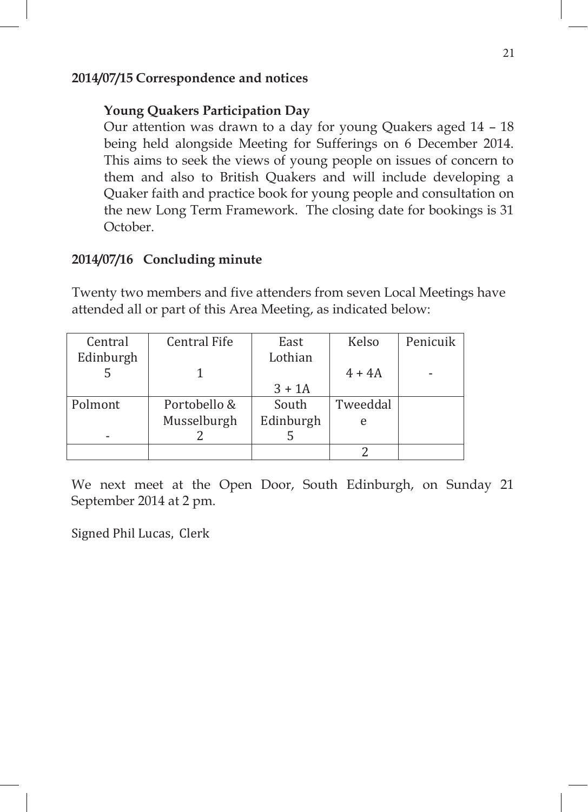## **2014/07/15 Correspondence and notices**

## **Young Quakers Participation Day**

Our attention was drawn to a day for young Quakers aged 14 – 18 being held alongside Meeting for Sufferings on 6 December 2014. This aims to seek the views of young people on issues of concern to them and also to British Quakers and will include developing a Quaker faith and practice book for young people and consultation on the new Long Term Framework. The closing date for bookings is 31 October.

## **2014/07/16 Concluding minute**

Twenty two members and five attenders from seven Local Meetings have attended all or part of this Area Meeting, as indicated below:

| Central   | Central Fife | Kelso<br>East |          | Penicuik |
|-----------|--------------|---------------|----------|----------|
| Edinburgh |              | Lothian       |          |          |
|           |              |               | $4 + 4A$ |          |
|           |              | $3 + 1A$      |          |          |
| Polmont   | Portobello & | South         | Tweeddal |          |
|           | Musselburgh  | Edinburgh     | e        |          |
|           |              |               |          |          |
|           |              |               |          |          |

We next meet at the Open Door, South Edinburgh, on Sunday 21 September 2014 at 2 pm.

Signed Phil Lucas, Clerk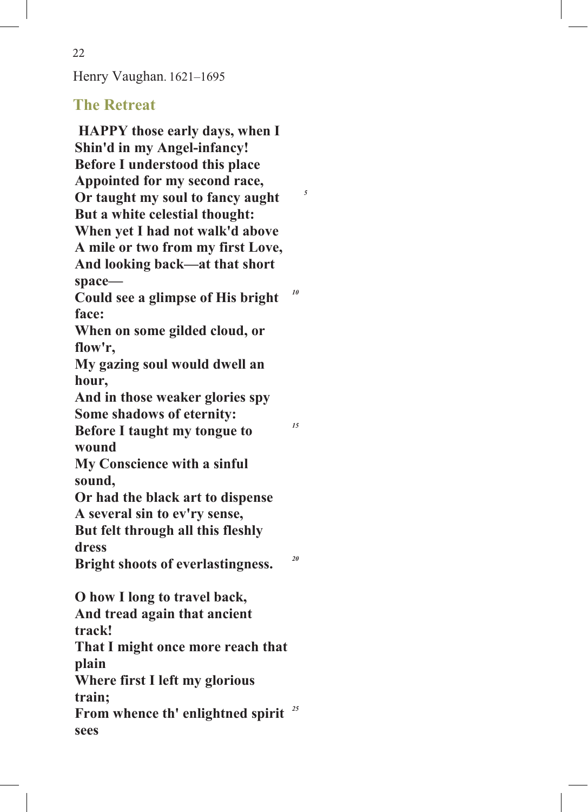Henry Vaughan. 1621–1695

# **The Retreat**

**HAPPY those early days, when I Shin'd in my Angel-infancy! Before I understood this place Appointed for my second race, Or taught my soul to fancy aught** *<sup>5</sup>* **But a white celestial thought: When yet I had not walk'd above A mile or two from my first Love, And looking back—at that short space— Could see a glimpse of His bright face:** *10* **When on some gilded cloud, or flow'r, My gazing soul would dwell an hour, And in those weaker glories spy Some shadows of eternity: Before I taught my tongue to wound** *15* **My Conscience with a sinful sound, Or had the black art to dispense A several sin to ev'ry sense, But felt through all this fleshly dress Bright shoots of everlastingness.** *<sup>20</sup>* **O how I long to travel back, And tread again that ancient track! That I might once more reach that plain Where first I left my glorious train; From whence th' enlightned spirit**  *25***sees**

22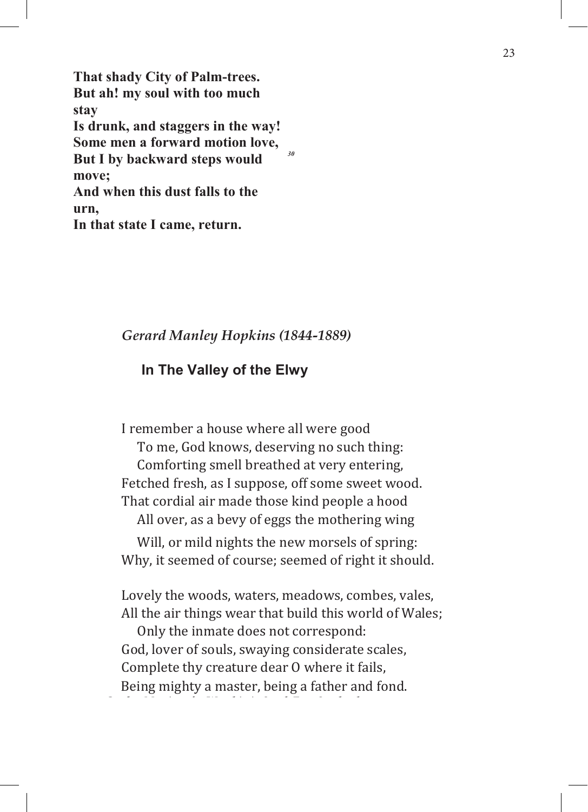**That shady City of Palm-trees. But ah! my soul with too much stay Is drunk, and staggers in the way! Some men a forward motion love, But I by backward steps would move;** *30* **And when this dust falls to the urn, In that state I came, return.**

## *Gerard Manley Hopkins (1844-1889)*

## **In The Valley of the Elwy**

I remember a house where all were good To me, God knows, deserving no such thing: Comforting smell breathed at very entering, Fetched fresh, as I suppose, off some sweet wood. That cordial air made those kind people a hood

All over, as a bevy of eggs the mothering wing

Will, or mild nights the new morsels of spring: Why, it seemed of course; seemed of right it should.

Lovely the woods, waters, meadows, combes, vales, All the air things wear that build this world of Wales;

Only the inmate does not correspond: God, lover of souls, swaying considerate scales, Complete thy creature dear O where it fails, Being mighty a master, being a father and fond.